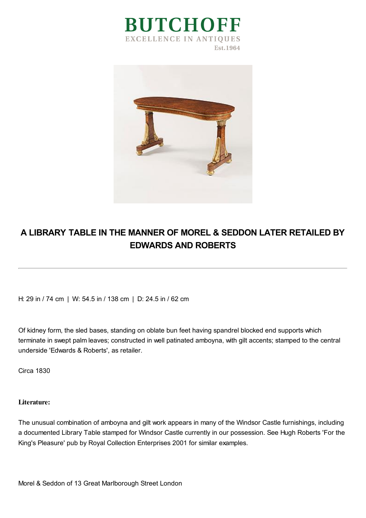



## **A LIBRARY TABLE IN THE MANNER OF MOREL & SEDDON LATER RETAILED BY EDWARDS AND ROBERTS**

H: 29 in / 74 cm | W: 54.5 in / 138 cm | D: 24.5 in / 62 cm

Of kidney form, the sled bases, standing on oblate bun feet having spandrel blocked end supports which terminate in swept palm leaves; constructed in well patinated amboyna, with gilt accents; stamped to the central underside 'Edwards & Roberts', as retailer.

Circa 1830

## **Literature:**

The unusual combination of amboyna and gilt work appears in many of the Windsor Castle furnishings, including a documented Library Table stamped for Windsor Castle currently in our possession. See Hugh Roberts 'For the King's Pleasure' pub by Royal Collection Enterprises 2001 for similar examples.

Morel & Seddon of 13 Great Marlborough Street London